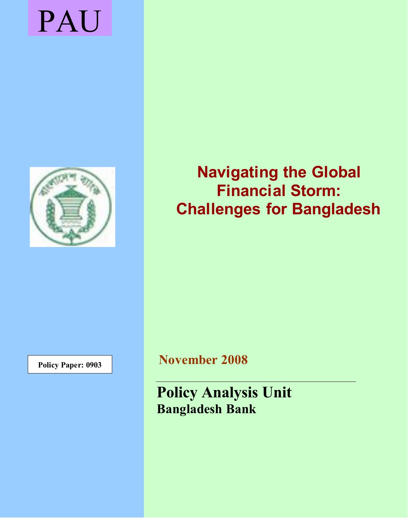# PAU



**Navigating the Global Financial Storm: Challenges for Bangladesh**

**Policy Paper: 0903 November 2008** 

**Policy Analysis Unit Bangladesh Bank**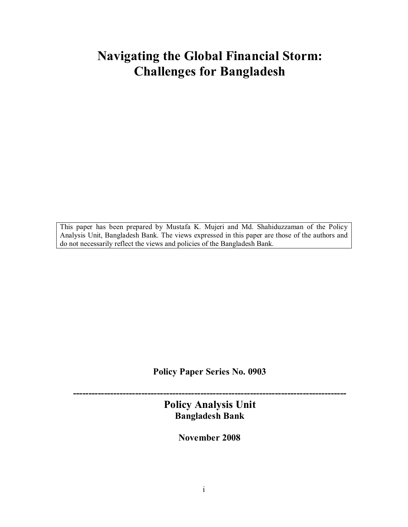# **Navigating the Global Financial Storm: Challenges for Bangladesh**

This paper has been prepared by Mustafa K. Mujeri and Md. Shahiduzzaman of the Policy Analysis Unit, Bangladesh Bank. The views expressed in this paper are those of the authors and do not necessarily reflect the views and policies of the Bangladesh Bank.

**Policy Paper Series No. 0903**

**---------------------------------------------------------------------------------------- Policy Analysis Unit Bangladesh Bank**

**November 2008**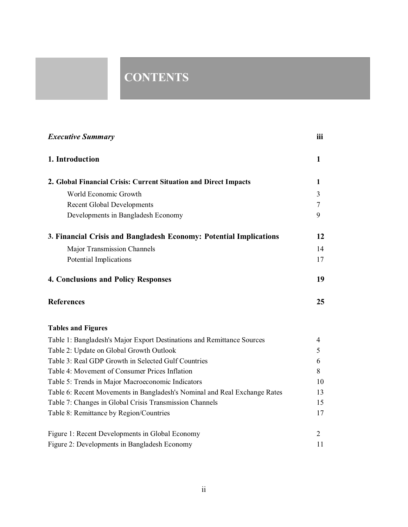# **CONTENTS**

| <b>Executive Summary</b>                                                  | iii          |
|---------------------------------------------------------------------------|--------------|
| 1. Introduction                                                           | $\mathbf{1}$ |
| 2. Global Financial Crisis: Current Situation and Direct Impacts          | 1            |
| World Economic Growth                                                     | 3            |
| <b>Recent Global Developments</b>                                         | 7            |
| Developments in Bangladesh Economy                                        | 9            |
| 3. Financial Crisis and Bangladesh Economy: Potential Implications        | 12           |
| Major Transmission Channels                                               | 14           |
| Potential Implications                                                    | 17           |
| <b>4. Conclusions and Policy Responses</b>                                | 19           |
| <b>References</b>                                                         | 25           |
| <b>Tables and Figures</b>                                                 |              |
| Table 1: Bangladesh's Major Export Destinations and Remittance Sources    | 4            |
| Table 2: Update on Global Growth Outlook                                  | 5            |
| Table 3: Real GDP Growth in Selected Gulf Countries                       | 6            |
| Table 4: Movement of Consumer Prices Inflation                            | 8            |
| Table 5: Trends in Major Macroeconomic Indicators                         | 10           |
| Table 6: Recent Movements in Bangladesh's Nominal and Real Exchange Rates | 13           |
| Table 7: Changes in Global Crisis Transmission Channels                   | 15           |
| Table 8: Remittance by Region/Countries                                   | 17           |
| Figure 1: Recent Developments in Global Economy                           | 2            |
| Figure 2: Developments in Bangladesh Economy                              | 11           |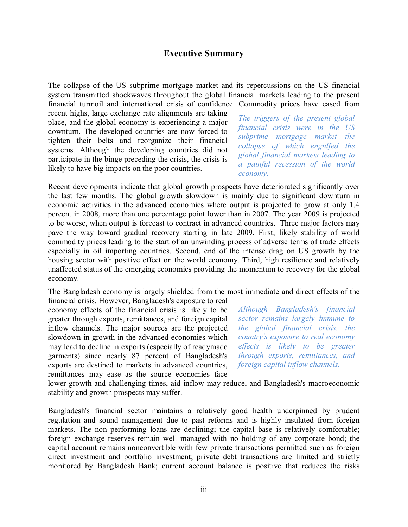#### **Executive Summary**

The collapse of the US subprime mortgage market and its repercussions on the US financial system transmitted shockwaves throughout the global financial markets leading to the present financial turmoil and international crisis of confidence. Commodity prices have eased from

recent highs, large exchange rate alignments are taking place, and the global economy is experiencing a major downturn. The developed countries are now forced to tighten their belts and reorganize their financial systems. Although the developing countries did not participate in the binge preceding the crisis, the crisis is likely to have big impacts on the poor countries.

*The triggers of the present global financial crisis were in the US subprime mortgage market the collapse of which engulfed the global financial markets leading to a painful recession of the world economy.*

Recent developments indicate that global growth prospects have deteriorated significantly over the last few months. The global growth slowdown is mainly due to significant downturn in economic activities in the advanced economies where output is projected to grow at only 1.4 percent in 2008, more than one percentage point lower than in 2007. The year 2009 is projected to be worse, when output is forecast to contract in advanced countries. Three major factors may pave the way toward gradual recovery starting in late 2009. First, likely stability of world commodity prices leading to the start of an unwinding process of adverse terms of trade effects especially in oil importing countries. Second, end of the intense drag on US growth by the housing sector with positive effect on the world economy. Third, high resilience and relatively unaffected status of the emerging economies providing the momentum to recovery for the global economy.

The Bangladesh economy is largely shielded from the most immediate and direct effects of the

financial crisis. However, Bangladesh's exposure to real economy effects of the financial crisis is likely to be greater through exports, remittances, and foreign capital inflow channels. The major sources are the projected slowdown in growth in the advanced economies which may lead to decline in exports (especially of readymade garments) since nearly 87 percent of Bangladesh's exports are destined to markets in advanced countries, remittances may ease as the source economies face

*Although Bangladesh's financial sector remains largely immune to the global financial crisis, the country's exposure to real economy effects is likely to be greater through exports, remittances, and foreign capital inflow channels.* 

lower growth and challenging times, aid inflow may reduce, and Bangladesh's macroeconomic stability and growth prospects may suffer.

Bangladesh's financial sector maintains a relatively good health underpinned by prudent regulation and sound management due to past reforms and is highly insulated from foreign markets. The non performing loans are declining; the capital base is relatively comfortable; foreign exchange reserves remain well managed with no holding of any corporate bond; the capital account remains nonconvertible with few private transactions permitted such as foreign direct investment and portfolio investment; private debt transactions are limited and strictly monitored by Bangladesh Bank; current account balance is positive that reduces the risks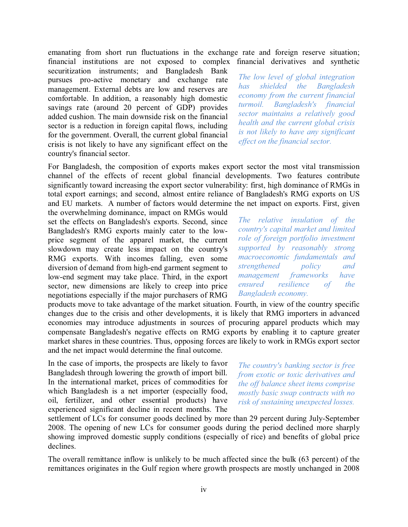emanating from short run fluctuations in the exchange rate and foreign reserve situation; financial institutions are not exposed to complex financial derivatives and synthetic

securitization instruments; and Bangladesh Bank pursues pro-active monetary and exchange rate management. External debts are low and reserves are comfortable. In addition, a reasonably high domestic savings rate (around 20 percent of GDP) provides added cushion. The main downside risk on the financial sector is a reduction in foreign capital flows, including for the government. Overall, the current global financial crisis is not likely to have any significant effect on the country's financial sector.

*The low level of global integration has shielded the Bangladesh economy from the current financial turmoil. Bangladesh's financial sector maintains a relatively good health and the current global crisis is not likely to have any significant effect on the financial sector.*

For Bangladesh, the composition of exports makes export sector the most vital transmission channel of the effects of recent global financial developments. Two features contribute significantly toward increasing the export sector vulnerability: first, high dominance of RMGs in total export earnings; and second, almost entire reliance of Bangladesh's RMG exports on US and EU markets. A number of factors would determine the net impact on exports. First, given

the overwhelming dominance, impact on RMGs would set the effects on Bangladesh's exports. Second, since Bangladesh's RMG exports mainly cater to the lowprice segment of the apparel market, the current slowdown may create less impact on the country's RMG exports. With incomes falling, even some diversion of demand from high-end garment segment to low-end segment may take place. Third, in the export sector, new dimensions are likely to creep into price negotiations especially if the major purchasers of RMG

products move to take advantage of the market situation. Fourth, in view of the country specific changes due to the crisis and other developments, it is likely that RMG importers in advanced economies may introduce adjustments in sources of procuring apparel products which may compensate Bangladesh's negative effects on RMG exports by enabling it to capture greater market shares in these countries. Thus, opposing forces are likely to work in RMGs export sector and the net impact would determine the final outcome.

In the case of imports, the prospects are likely to favor Bangladesh through lowering the growth of import bill. In the international market, prices of commodities for which Bangladesh is a net importer (especially food, oil, fertilizer, and other essential products) have experienced significant decline in recent months. The

*The country's banking sector is free from exotic or toxic derivatives and the off balance sheet items comprise mostly basic swap contracts with no risk of sustaining unexpected losses.*

settlement of LCs for consumer goods declined by more than 29 percent during July-September 2008. The opening of new LCs for consumer goods during the period declined more sharply showing improved domestic supply conditions (especially of rice) and benefits of global price declines.

The overall remittance inflow is unlikely to be much affected since the bulk (63 percent) of the remittances originates in the Gulf region where growth prospects are mostly unchanged in 2008

*The relative insulation of the country's capital market and limited role of foreign portfolio investment supported by reasonably strong macroeconomic fundamentals and strengthened policy and management frameworks have ensured resilience of the Bangladesh economy.*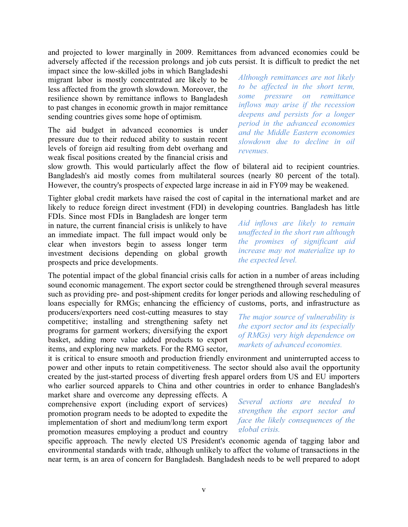and projected to lower marginally in 2009. Remittances from advanced economies could be adversely affected if the recession prolongs and job cuts persist. It is difficult to predict the net

impact since the low-skilled jobs in which Bangladeshi migrant labor is mostly concentrated are likely to be less affected from the growth slowdown. Moreover, the resilience shown by remittance inflows to Bangladesh to past changes in economic growth in major remittance sending countries gives some hope of optimism.

The aid budget in advanced economies is under pressure due to their reduced ability to sustain recent levels of foreign aid resulting from debt overhang and weak fiscal positions created by the financial crisis and *Although remittances are not likely to be affected in the short term, some pressure on remittance inflows may arise if the recession deepens and persists for a longer period in the advanced economies and the Middle Eastern economies slowdown due to decline in oil revenues.*

slow growth. This would particularly affect the flow of bilateral aid to recipient countries. Bangladesh's aid mostly comes from multilateral sources (nearly 80 percent of the total). However, the country's prospects of expected large increase in aid in FY09 may be weakened.

Tighter global credit markets have raised the cost of capital in the international market and are likely to reduce foreign direct investment (FDI) in developing countries. Bangladesh has little FDIs. Since most FDIs in Bangladesh are longer term

in nature, the current financial crisis is unlikely to have an immediate impact. The full impact would only be clear when investors begin to assess longer term investment decisions depending on global growth prospects and price developments.

The potential impact of the global financial crisis calls for action in a number of areas including sound economic management. The export sector could be strengthened through several measures such as providing pre- and post-shipment credits for longer periods and allowing rescheduling of loans especially for RMGs; enhancing the efficiency of customs, ports, and infrastructure as

producers/exporters need cost-cutting measures to stay competitive; installing and strengthening safety net programs for garment workers; diversifying the export basket, adding more value added products to export items, and exploring new markets. For the RMG sector,

it is critical to ensure smooth and production friendly environment and uninterrupted access to power and other inputs to retain competitiveness. The sector should also avail the opportunity created by the just-started process of diverting fresh apparel orders from US and EU importers who earlier sourced apparels to China and other countries in order to enhance Bangladesh's

market share and overcome any depressing effects. A comprehensive export (including export of services) promotion program needs to be adopted to expedite the implementation of short and medium/long term export promotion measures employing a product and country

*Several actions are needed to strengthen the export sector and face the likely consequences of the global crisis.*

specific approach. The newly elected US President's economic agenda of tagging labor and environmental standards with trade, although unlikely to affect the volume of transactions in the near term, is an area of concern for Bangladesh. Bangladesh needs to be well prepared to adopt

*the expected level.*

*Aid inflows are likely to remain unaffected in the short run although the promises of significant aid increase may not materialize up to* 

*The major source of vulnerability is the export sector and its (especially of RMGs) very high dependence on markets of advanced economies.*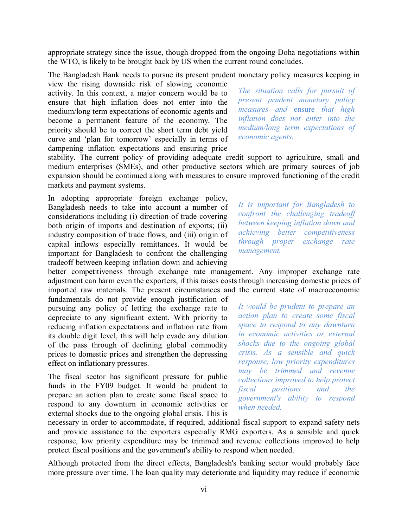appropriate strategy since the issue, though dropped from the ongoing Doha negotiations within the WTO, is likely to be brought back by US when the current round concludes.

The Bangladesh Bank needs to pursue its present prudent monetary policy measures keeping in

view the rising downside risk of slowing economic activity. In this context, a major concern would be to ensure that high inflation does not enter into the medium/long term expectations of economic agents and become a permanent feature of the economy. The priority should be to correct the short term debt yield curve and 'plan for tomorrow' especially in terms of dampening inflation expectations and ensuring price

*The situation calls for pursuit of present prudent monetary policy measures and* ensure *that high inflation does not enter into the medium/long term expectations of economic agents.*

stability. The current policy of providing adequate credit support to agriculture, small and medium enterprises (SMEs), and other productive sectors which are primary sources of job expansion should be continued along with measures to ensure improved functioning of the credit markets and payment systems.

In adopting appropriate foreign exchange policy, Bangladesh needs to take into account a number of considerations including (i) direction of trade covering both origin of imports and destination of exports; (ii) industry composition of trade flows; and (iii) origin of capital inflows especially remittances. It would be important for Bangladesh to confront the challenging tradeoff between keeping inflation down and achieving

*It is important for Bangladesh to confront the challenging tradeoff between keeping inflation down and achieving better competitiveness through proper exchange rate management.*

better competitiveness through exchange rate management. Any improper exchange rate adjustment can harm even the exporters, if this raises costs through increasing domestic prices of imported raw materials. The present circumstances and the current state of macroeconomic

fundamentals do not provide enough justification of pursuing any policy of letting the exchange rate to depreciate to any significant extent. With priority to reducing inflation expectations and inflation rate from its double digit level, this will help evade any dilution of the pass through of declining global commodity prices to domestic prices and strengthen the depressing effect on inflationary pressures.

The fiscal sector has significant pressure for public funds in the FY09 budget. It would be prudent to prepare an action plan to create some fiscal space to respond to any downturn in economic activities or external shocks due to the ongoing global crisis. This is

*It would be prudent to prepare an action plan to create some fiscal space to respond to any downturn in economic activities or external shocks due to the ongoing global crisis. As a sensible and quick response, low priority expenditures may be trimmed and revenue collections improved to help protect fiscal positions and the government's ability to respond when needed.*

necessary in order to accommodate, if required, additional fiscal support to expand safety nets and provide assistance to the exporters especially RMG exporters. As a sensible and quick response, low priority expenditure may be trimmed and revenue collections improved to help protect fiscal positions and the government's ability to respond when needed.

Although protected from the direct effects, Bangladesh's banking sector would probably face more pressure over time. The loan quality may deteriorate and liquidity may reduce if economic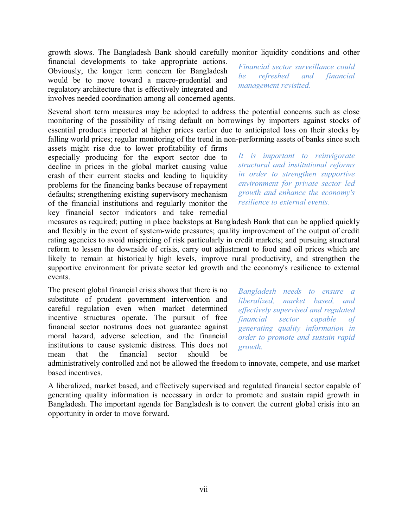growth slows. The Bangladesh Bank should carefully monitor liquidity conditions and other

financial developments to take appropriate actions. Obviously, the longer term concern for Bangladesh would be to move toward a macro-prudential and regulatory architecture that is effectively integrated and involves needed coordination among all concerned agents.

Several short term measures may be adopted to address the potential concerns such as close monitoring of the possibility of rising default on borrowings by importers against stocks of essential products imported at higher prices earlier due to anticipated loss on their stocks by falling world prices; regular monitoring of the trend in non-performing assets of banks since such

assets might rise due to lower profitability of firms especially producing for the export sector due to decline in prices in the global market causing value crash of their current stocks and leading to liquidity problems for the financing banks because of repayment defaults; strengthening existing supervisory mechanism of the financial institutions and regularly monitor the key financial sector indicators and take remedial *Financial sector surveillance could be refreshed and financial management revisited.*

*It is important to reinvigorate structural and institutional reforms in order to strengthen supportive environment for private sector led growth and enhance the economy's resilience to external events.*

measures as required; putting in place backstops at Bangladesh Bank that can be applied quickly and flexibly in the event of system-wide pressures; quality improvement of the output of credit rating agencies to avoid mispricing of risk particularly in credit markets; and pursuing structural reform to lessen the downside of crisis, carry out adjustment to food and oil prices which are likely to remain at historically high levels, improve rural productivity, and strengthen the supportive environment for private sector led growth and the economy's resilience to external events.

The present global financial crisis shows that there is no substitute of prudent government intervention and careful regulation even when market determined incentive structures operate. The pursuit of free financial sector nostrums does not guarantee against moral hazard, adverse selection, and the financial institutions to cause systemic distress. This does not mean that the financial sector should be

*Bangladesh needs to ensure a liberalized, market based, and effectively supervised and regulated financial sector capable of generating quality information in order to promote and sustain rapid growth.*

administratively controlled and not be allowed the freedom to innovate, compete, and use market based incentives.

A liberalized, market based, and effectively supervised and regulated financial sector capable of generating quality information is necessary in order to promote and sustain rapid growth in Bangladesh. The important agenda for Bangladesh is to convert the current global crisis into an opportunity in order to move forward.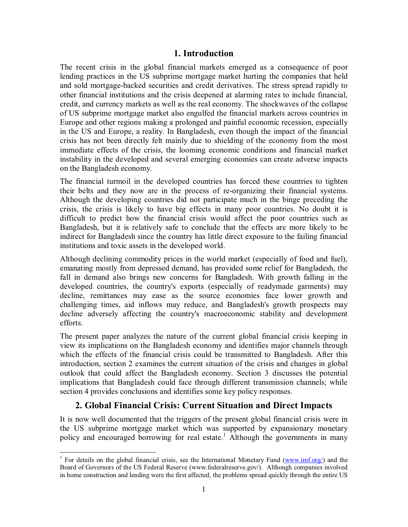## **1. Introduction**

The recent crisis in the global financial markets emerged as a consequence of poor lending practices in the US subprime mortgage market hurting the companies that held and sold mortgage-backed securities and credit derivatives. The stress spread rapidly to other financial institutions and the crisis deepened at alarming rates to include financial, credit, and currency markets as well as the real economy. The shockwaves of the collapse of US subprime mortgage market also engulfed the financial markets across countries in Europe and other regions making a prolonged and painful economic recession, especially in the US and Europe, a reality. In Bangladesh, even though the impact of the financial crisis has not been directly felt mainly due to shielding of the economy from the most immediate effects of the crisis, the looming economic conditions and financial market instability in the developed and several emerging economies can create adverse impacts on the Bangladesh economy.

The financial turmoil in the developed countries has forced these countries to tighten their belts and they now are in the process of re-organizing their financial systems. Although the developing countries did not participate much in the binge preceding the crisis, the crisis is likely to have big effects in many poor countries. No doubt it is difficult to predict how the financial crisis would affect the poor countries such as Bangladesh, but it is relatively safe to conclude that the effects are more likely to be indirect for Bangladesh since the country has little direct exposure to the failing financial institutions and toxic assets in the developed world.

Although declining commodity prices in the world market (especially of food and fuel), emanating mostly from depressed demand, has provided some relief for Bangladesh, the fall in demand also brings new concerns for Bangladesh. With growth falling in the developed countries, the country's exports (especially of readymade garments) may decline, remittances may ease as the source economies face lower growth and challenging times, aid inflows may reduce, and Bangladesh's growth prospects may decline adversely affecting the country's macroeconomic stability and development efforts.

The present paper analyzes the nature of the current global financial crisis keeping in view its implications on the Bangladesh economy and identifies major channels through which the effects of the financial crisis could be transmitted to Bangladesh. After this introduction, section 2 examines the current situation of the crisis and changes in global outlook that could affect the Bangladesh economy. Section 3 discusses the potential implications that Bangladesh could face through different transmission channels; while section 4 provides conclusions and identifies some key policy responses.

# **2. Global Financial Crisis: Current Situation and Direct Impacts**

It is now well documented that the triggers of the present global financial crisis were in the US subprime mortgage market which was supported by expansionary monetary policy and encouraged borrowing for real estate.<sup>1</sup> Although the governments in many

<sup>-</sup><sup>1</sup> For details on the global financial crisis, see the International Monetary Fund (www.imf.org/) and the Board of Governors of the US Federal Reserve (www.federalreserve.gov/). Although companies involved in home construction and lending were the first affected, the problems spread quickly through the entire US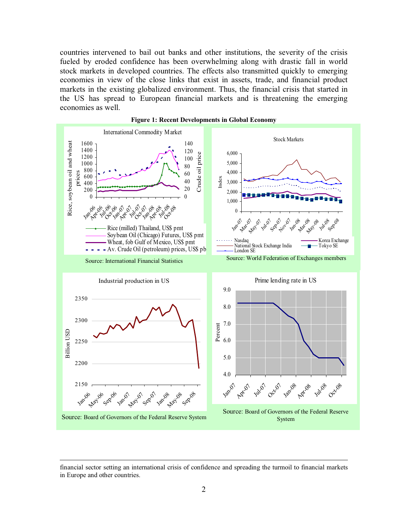countries intervened to bail out banks and other institutions, the severity of the crisis fueled by eroded confidence has been overwhelming along with drastic fall in world stock markets in developed countries. The effects also transmitted quickly to emerging economies in view of the close links that exist in assets, trade, and financial product markets in the existing globalized environment. Thus, the financial crisis that started in the US has spread to European financial markets and is threatening the emerging economies as well.



financial sector setting an international crisis of confidence and spreading the turmoil to financial markets in Europe and other countries.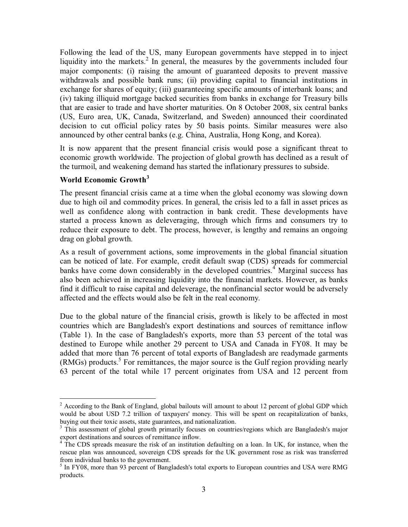Following the lead of the US, many European governments have stepped in to inject liquidity into the markets.<sup>2</sup> In general, the measures by the governments included four major components: (i) raising the amount of guaranteed deposits to prevent massive withdrawals and possible bank runs; (ii) providing capital to financial institutions in exchange for shares of equity; (iii) guaranteeing specific amounts of interbank loans; and (iv) taking illiquid mortgage backed securities from banks in exchange for Treasury bills that are easier to trade and have shorter maturities. On 8 October 2008, six central banks (US, Euro area, UK, Canada, Switzerland, and Sweden) announced their coordinated decision to cut official policy rates by 50 basis points. Similar measures were also announced by other central banks (e.g. China, Australia, Hong Kong, and Korea).

It is now apparent that the present financial crisis would pose a significant threat to economic growth worldwide. The projection of global growth has declined as a result of the turmoil, and weakening demand has started the inflationary pressures to subside.

# **World Economic Growth<sup>3</sup>**

-

The present financial crisis came at a time when the global economy was slowing down due to high oil and commodity prices. In general, the crisis led to a fall in asset prices as well as confidence along with contraction in bank credit. These developments have started a process known as deleveraging, through which firms and consumers try to reduce their exposure to debt. The process, however, is lengthy and remains an ongoing drag on global growth.

As a result of government actions, some improvements in the global financial situation can be noticed of late. For example, credit default swap (CDS) spreads for commercial banks have come down considerably in the developed countries.<sup>4</sup> Marginal success has also been achieved in increasing liquidity into the financial markets. However, as banks find it difficult to raise capital and deleverage, the nonfinancial sector would be adversely affected and the effects would also be felt in the real economy.

Due to the global nature of the financial crisis, growth is likely to be affected in most countries which are Bangladesh's export destinations and sources of remittance inflow (Table 1). In the case of Bangladesh's exports, more than 53 percent of the total was destined to Europe while another 29 percent to USA and Canada in FY08. It may be added that more than 76 percent of total exports of Bangladesh are readymade garments  $(RMGs)$  products.<sup>5</sup> For remittances, the major source is the Gulf region providing nearly 63 percent of the total while 17 percent originates from USA and 12 percent from

<sup>&</sup>lt;sup>2</sup> According to the Bank of England, global bailouts will amount to about 12 percent of global GDP which would be about USD 7.2 trillion of taxpayers' money. This will be spent on recapitalization of banks, buying out their toxic assets, state guarantees, and nationalization.

<sup>&</sup>lt;sup>3</sup> This assessment of global growth primarily focuses on countries/regions which are Bangladesh's major export destinations and sources of remittance inflow.

<sup>&</sup>lt;sup>4</sup> The CDS spreads measure the risk of an institution defaulting on a loan. In UK, for instance, when the rescue plan was announced, sovereign CDS spreads for the UK government rose as risk was transferred from individual banks to the government.

<sup>&</sup>lt;sup>5</sup> In FY08, more than 93 percent of Bangladesh's total exports to European countries and USA were RMG products.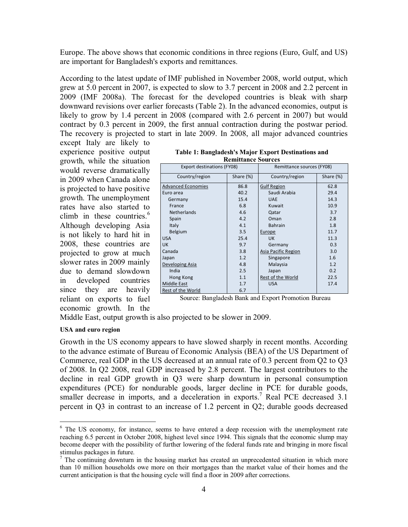Europe. The above shows that economic conditions in three regions (Euro, Gulf, and US) are important for Bangladesh's exports and remittances.

According to the latest update of IMF published in November 2008, world output, which grew at 5.0 percent in 2007, is expected to slow to 3.7 percent in 2008 and 2.2 percent in 2009 (IMF 2008a). The forecast for the developed countries is bleak with sharp downward revisions over earlier forecasts (Table 2). In the advanced economies, output is likely to grow by 1.4 percent in 2008 (compared with 2.6 percent in 2007) but would contract by 0.3 percent in 2009, the first annual contraction during the postwar period. The recovery is projected to start in late 2009. In 2008, all major advanced countries

except Italy are likely to experience positive output growth, while the situation would reverse dramatically in 2009 when Canada alone is projected to have positive growth. The unemployment rates have also started to climb in these countries. $6$ Although developing Asia is not likely to hard hit in 2008, these countries are projected to grow at much slower rates in 2009 mainly due to demand slowdown in developed countries since they are heavily reliant on exports to fuel economic growth. In the

| Kennuance sources                 |           |                           |           |  |  |  |  |  |
|-----------------------------------|-----------|---------------------------|-----------|--|--|--|--|--|
| <b>Export destinations (FY08)</b> |           | Remittance sources (FY08) |           |  |  |  |  |  |
| Country/region                    | Share (%) | Country/region            | Share (%) |  |  |  |  |  |
| <b>Advanced Economies</b>         | 86.8      | <b>Gulf Region</b>        | 62.8      |  |  |  |  |  |
| Euro area                         | 40.2      | Saudi Arabia              | 29.4      |  |  |  |  |  |
| Germany                           | 15.4      | <b>UAE</b>                | 14.3      |  |  |  |  |  |
| France                            | 6.8       | Kuwait                    | 10.9      |  |  |  |  |  |
| <b>Netherlands</b>                | 4.6       | Qatar                     | 3.7       |  |  |  |  |  |
| Spain                             | 4.2       | Oman                      | 2.8       |  |  |  |  |  |
| Italy                             | 4.1       | <b>Bahrain</b>            | 1.8       |  |  |  |  |  |
| <b>Belgium</b>                    | 3.5       | Europe                    | 11.7      |  |  |  |  |  |
| <b>USA</b>                        | 25.4      | <b>UK</b>                 | 11.3      |  |  |  |  |  |
| <b>UK</b>                         | 9.7       | Germany                   | 0.3       |  |  |  |  |  |
| Canada                            | 3.8       | Asia Pacific Region       | 3.0       |  |  |  |  |  |
| Japan                             | 1.2       | Singapore                 | 1.6       |  |  |  |  |  |
| Developing Asia                   | 4.8       | Malaysia                  | 1.2       |  |  |  |  |  |
| India                             | 2.5       | Japan                     | 0.2       |  |  |  |  |  |
| Hong Kong                         | 1.1       | Rest of the World         | 22.5      |  |  |  |  |  |
| <b>Middle East</b>                | 1.7       | <b>USA</b>                | 17.4      |  |  |  |  |  |
| Rest of the World                 | 6.7       |                           |           |  |  |  |  |  |

**Table 1: Bangladesh's Major Export Destinations and Remittance Sources**

Source: Bangladesh Bank and Export Promotion Bureau

Middle East, output growth is also projected to be slower in 2009.

#### **USA and euro region**

<u>.</u>

Growth in the US economy appears to have slowed sharply in recent months. According to the advance estimate of Bureau of Economic Analysis (BEA) of the US Department of Commerce, real GDP in the US decreased at an annual rate of 0.3 percent from Q2 to Q3 of 2008. In Q2 2008, real GDP increased by 2.8 percent. The largest contributors to the decline in real GDP growth in Q3 were sharp downturn in personal consumption expenditures (PCE) for nondurable goods, larger decline in PCE for durable goods, smaller decrease in imports, and a deceleration in exports.<sup>7</sup> Real PCE decreased 3.1 percent in Q3 in contrast to an increase of 1.2 percent in Q2; durable goods decreased

<sup>&</sup>lt;sup>6</sup> The US economy, for instance, seems to have entered a deep recession with the unemployment rate reaching 6.5 percent in October 2008, highest level since 1994. This signals that the economic slump may become deeper with the possibility of further lowering of the federal funds rate and bringing in more fiscal stimulus packages in future.

 $<sup>7</sup>$  The continuing downturn in the housing market has created an unprecedented situation in which more</sup> than 10 million households owe more on their mortgages than the market value of their homes and the current anticipation is that the housing cycle will find a floor in 2009 after corrections.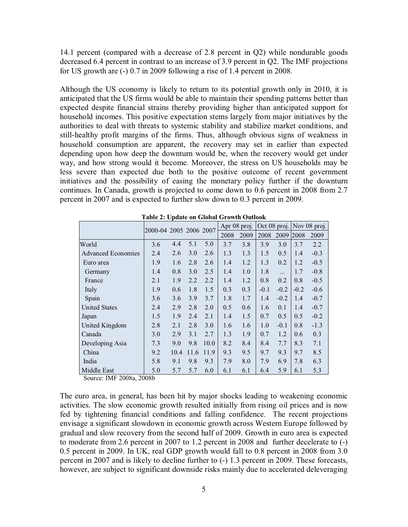14.1 percent (compared with a decrease of 2.8 percent in Q2) while nondurable goods decreased 6.4 percent in contrast to an increase of 3.9 percent in Q2. The IMF projections for US growth are (-) 0.7 in 2009 following a rise of 1.4 percent in 2008.

Although the US economy is likely to return to its potential growth only in 2010, it is anticipated that the US firms would be able to maintain their spending patterns better than expected despite financial strains thereby providing higher than anticipated support for household incomes. This positive expectation stems largely from major initiatives by the authorities to deal with threats to systemic stability and stabilize market conditions, and still-healthy profit margins of the firms. Thus, although obvious signs of weakness in household consumption are apparent, the recovery may set in earlier than expected depending upon how deep the downturn would be, when the recovery would get under way, and how strong would it become. Moreover, the stress on US households may be less severe than expected due both to the positive outcome of recent government initiatives and the possibility of easing the monetary policy further if the downturn continues. In Canada, growth is projected to come down to 0.6 percent in 2008 from 2.7 percent in 2007 and is expected to further slow down to 0.3 percent in 2009.

|                           |     | 2000-04 2005 2006 2007 |      |      |      | Oct 08 proj.<br>Apr 08 proj. |        | Nov 08 proj. |        |        |
|---------------------------|-----|------------------------|------|------|------|------------------------------|--------|--------------|--------|--------|
|                           |     |                        |      |      | 2008 | 2009                         | 2008   | 2009         | 2008   | 2009   |
| World                     | 3.6 | 4.4                    | 5.1  | 5.0  | 3.7  | 3.8                          | 3.9    | 3.0          | 3.7    | 2.2    |
| <b>Advanced Economies</b> | 2.4 | 2.6                    | 3.0  | 2.6  | 1.3  | 1.3                          | 1.5    | 0.5          | 1.4    | $-0.3$ |
| Euro area                 | 1.9 | 1.6                    | 2.8  | 2.6  | 1.4  | 1.2                          | 1.3    | 0.2          | 1.2    | $-0.5$ |
| Germany                   | 1.4 | 0.8                    | 3.0  | 2.5  | 1.4  | 1.0                          | 1.8    |              | 1.7    | $-0.8$ |
| France                    | 2.1 | 1.9                    | 2.2  | 2.2  | 1.4  | 1.2                          | 0.8    | 0.2          | 0.8    | $-0.5$ |
| Italy                     | 1.9 | 0.6                    | 1.8  | 1.5  | 0.3  | 0.3                          | $-0.1$ | $-0.2$       | $-0.2$ | $-0.6$ |
| Spain                     | 3.6 | 3.6                    | 3.9  | 3.7  | 1.8  | 1.7                          | 1.4    | $-0.2$       | 1.4    | $-0.7$ |
| <b>United States</b>      | 2.4 | 2.9                    | 2.8  | 2.0  | 0.5  | 0.6                          | 1.6    | 0.1          | 1.4    | $-0.7$ |
| Japan                     | 1.5 | 1.9                    | 2.4  | 2.1  | 1.4  | 1.5                          | 0.7    | 0.5          | 0.5    | $-0.2$ |
| United Kingdom            | 2.8 | 2.1                    | 2.8  | 3.0  | 1.6  | 1.6                          | 1.0    | $-0.1$       | 0.8    | $-1.3$ |
| Canada                    | 3.0 | 2.9                    | 3.1  | 2.7  | 1.3  | 1.9                          | 0.7    | 1.2          | 0.6    | 0.3    |
| Developing Asia           | 7.3 | 9.0                    | 9.8  | 10.0 | 8.2  | 8.4                          | 8.4    | 7.7          | 8.3    | 7.1    |
| China                     | 9.2 | 10.4                   | 11.6 | 11.9 | 9.3  | 9.5                          | 9.7    | 9.3          | 9.7    | 8.5    |
| India                     | 5.8 | 9.1                    | 9.8  | 9.3  | 7.9  | 8.0                          | 7.9    | 6.9          | 7.8    | 6.3    |
| Middle East               | 5.0 | 5.7                    | 5.7  | 6.0  | 6.1  | 6.1                          | 6.4    | 5.9          | 6.1    | 5.3    |

**Table 2: Update on Global Growth Outlook**

Source: IMF 2008a, 2008b

The euro area, in general, has been hit by major shocks leading to weakening economic activities. The slow economic growth resulted initially from rising oil prices and is now fed by tightening financial conditions and falling confidence. The recent projections envisage a significant slowdown in economic growth across Western Europe followed by gradual and slow recovery from the second half of 2009. Growth in euro area is expected to moderate from 2.6 percent in 2007 to 1.2 percent in 2008 and further decelerate to (-) 0.5 percent in 2009. In UK, real GDP growth would fall to 0.8 percent in 2008 from 3.0 percent in 2007 and is likely to decline further to (-) 1.3 percent in 2009. These forecasts, however, are subject to significant downside risks mainly due to accelerated deleveraging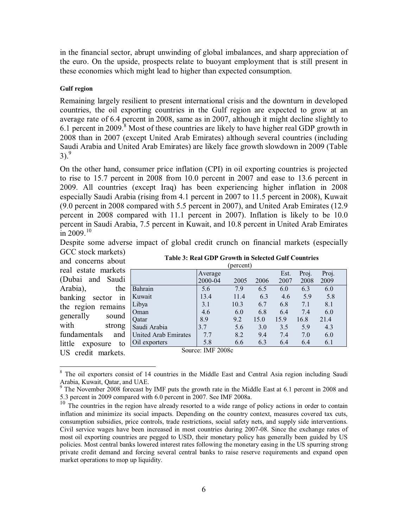in the financial sector, abrupt unwinding of global imbalances, and sharp appreciation of the euro. On the upside, prospects relate to buoyant employment that is still present in these economies which might lead to higher than expected consumption.

#### **Gulf region**

Remaining largely resilient to present international crisis and the downturn in developed countries, the oil exporting countries in the Gulf region are expected to grow at an average rate of 6.4 percent in 2008, same as in 2007, although it might decline slightly to 6.1 percent in 2009.<sup>8</sup> Most of these countries are likely to have higher real GDP growth in 2008 than in 2007 (except United Arab Emirates) although several countries (including Saudi Arabia and United Arab Emirates) are likely face growth slowdown in 2009 (Table  $3)$ .<sup>9</sup>

On the other hand, consumer price inflation (CPI) in oil exporting countries is projected to rise to 15.7 percent in 2008 from 10.0 percent in 2007 and ease to 13.6 percent in 2009. All countries (except Iraq) has been experiencing higher inflation in 2008 especially Saudi Arabia (rising from 4.1 percent in 2007 to 11.5 percent in 2008), Kuwait (9.0 percent in 2008 compared with 5.5 percent in 2007), and United Arab Emirates (12.9 percent in 2008 compared with 11.1 percent in 2007). Inflation is likely to be 10.0 percent in Saudi Arabia, 7.5 percent in Kuwait, and 10.8 percent in United Arab Emirates in 2009.<sup>10</sup>

Despite some adverse impact of global credit crunch on financial markets (especially

GCC stock markets) and concerns about real estate markets (Dubai and Saudi Arabia), the banking sector in the region remains generally sound with strong fundamentals and little exposure to US credit markets.

 $\overline{a}$ 

| Table 3: Real GDP Growth in Selected Gulf Countries |
|-----------------------------------------------------|
| $\left(\ldots \right)$                              |

| (percent)                   |         |      |      |      |       |       |  |  |  |
|-----------------------------|---------|------|------|------|-------|-------|--|--|--|
|                             | Average |      |      | Est. | Proj. | Proj. |  |  |  |
|                             | 2000-04 | 2005 | 2006 | 2007 | 2008  | 2009  |  |  |  |
| Bahrain                     | 5.6     | 7.9  | 6.5  | 6.0  | 6.3   | 6.0   |  |  |  |
| Kuwait                      | 13.4    | 11.4 | 6.3  | 4.6  | 5.9   | 5.8   |  |  |  |
| Libya                       | 3.1     | 10.3 | 6.7  | 6.8  | 7.1   | 8.1   |  |  |  |
| Oman                        | 4.6     | 6.0  | 6.8  | 6.4  | 7.4   | 6.0   |  |  |  |
| Qatar                       | 8.9     | 9.2  | 15.0 | 15.9 | 16.8  | 21.4  |  |  |  |
| Saudi Arabia                | 3.7     | 5.6  | 3.0  | 3.5  | 5.9   | 4.3   |  |  |  |
| <b>United Arab Emirates</b> | 7.7     | 8.2  | 9.4  | 7.4  | 7.0   | 6.0   |  |  |  |
| Oil exporters               | 5.8     | 6.6  | 6.3  | 6.4  | 6.4   | 6.1   |  |  |  |
| Source: IMF 2008c           |         |      |      |      |       |       |  |  |  |

<sup>&</sup>lt;sup>8</sup> The oil exporters consist of 14 countries in the Middle East and Central Asia region including Saudi Arabia, Kuwait, Qatar, and UAE.

 $9$  The November 2008 forecast by IMF puts the growth rate in the Middle East at 6.1 percent in 2008 and 5.3 percent in 2009 compared with 6.0 percent in 2007. See IMF 2008a.

<sup>&</sup>lt;sup>10</sup> The countries in the region have already resorted to a wide range of policy actions in order to contain inflation and minimize its social impacts. Depending on the country context, measures covered tax cuts, consumption subsidies, price controls, trade restrictions, social safety nets, and supply side interventions. Civil service wages have been increased in most countries during 2007-08. Since the exchange rates of most oil exporting countries are pegged to USD, their monetary policy has generally been guided by US policies. Most central banks lowered interest rates following the monetary easing in the US spurring strong private credit demand and forcing several central banks to raise reserve requirements and expand open market operations to mop up liquidity.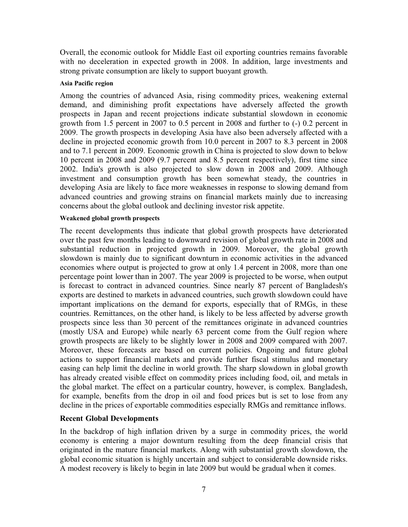Overall, the economic outlook for Middle East oil exporting countries remains favorable with no deceleration in expected growth in 2008. In addition, large investments and strong private consumption are likely to support buoyant growth.

#### **Asia Pacific region**

Among the countries of advanced Asia, rising commodity prices, weakening external demand, and diminishing profit expectations have adversely affected the growth prospects in Japan and recent projections indicate substantial slowdown in economic growth from 1.5 percent in 2007 to 0.5 percent in 2008 and further to (-) 0.2 percent in 2009. The growth prospects in developing Asia have also been adversely affected with a decline in projected economic growth from 10.0 percent in 2007 to 8.3 percent in 2008 and to 7.1 percent in 2009. Economic growth in China is projected to slow down to below 10 percent in 2008 and 2009 (9.7 percent and 8.5 percent respectively), first time since 2002. India's growth is also projected to slow down in 2008 and 2009. Although investment and consumption growth has been somewhat steady, the countries in developing Asia are likely to face more weaknesses in response to slowing demand from advanced countries and growing strains on financial markets mainly due to increasing concerns about the global outlook and declining investor risk appetite.

#### **Weakened global growth prospects**

The recent developments thus indicate that global growth prospects have deteriorated over the past few months leading to downward revision of global growth rate in 2008 and substantial reduction in projected growth in 2009. Moreover, the global growth slowdown is mainly due to significant downturn in economic activities in the advanced economies where output is projected to grow at only 1.4 percent in 2008, more than one percentage point lower than in 2007. The year 2009 is projected to be worse, when output is forecast to contract in advanced countries. Since nearly 87 percent of Bangladesh's exports are destined to markets in advanced countries, such growth slowdown could have important implications on the demand for exports, especially that of RMGs, in these countries. Remittances, on the other hand, is likely to be less affected by adverse growth prospects since less than 30 percent of the remittances originate in advanced countries (mostly USA and Europe) while nearly 63 percent come from the Gulf region where growth prospects are likely to be slightly lower in 2008 and 2009 compared with 2007. Moreover, these forecasts are based on current policies. Ongoing and future global actions to support financial markets and provide further fiscal stimulus and monetary easing can help limit the decline in world growth. The sharp slowdown in global growth has already created visible effect on commodity prices including food, oil, and metals in the global market. The effect on a particular country, however, is complex. Bangladesh, for example, benefits from the drop in oil and food prices but is set to lose from any decline in the prices of exportable commodities especially RMGs and remittance inflows.

#### **Recent Global Developments**

In the backdrop of high inflation driven by a surge in commodity prices, the world economy is entering a major downturn resulting from the deep financial crisis that originated in the mature financial markets. Along with substantial growth slowdown, the global economic situation is highly uncertain and subject to considerable downside risks. A modest recovery is likely to begin in late 2009 but would be gradual when it comes.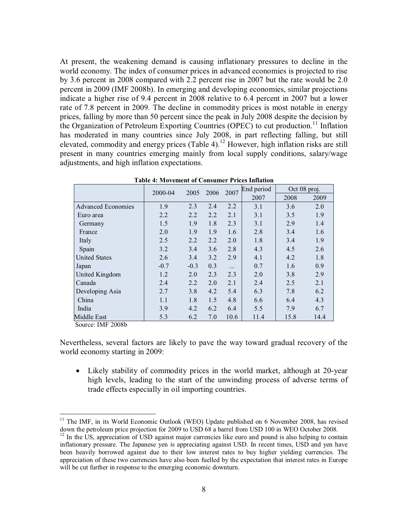At present, the weakening demand is causing inflationary pressures to decline in the world economy. The index of consumer prices in advanced economies is projected to rise by 3.6 percent in 2008 compared with 2.2 percent rise in 2007 but the rate would be 2.0 percent in 2009 (IMF 2008b). In emerging and developing economies, similar projections indicate a higher rise of 9.4 percent in 2008 relative to 6.4 percent in 2007 but a lower rate of 7.8 percent in 2009. The decline in commodity prices is most notable in energy prices, falling by more than 50 percent since the peak in July 2008 despite the decision by the Organization of Petroleum Exporting Countries (OPEC) to cut production.<sup>11</sup> Inflation has moderated in many countries since July 2008, in part reflecting falling, but still elevated, commodity and energy prices (Table 4).<sup>12</sup> However, high inflation risks are still present in many countries emerging mainly from local supply conditions, salary/wage adjustments, and high inflation expectations.

|                           | 2000-04 | 2005   | 2007<br>2006 |           | End period | Oct 08 proj. |      |
|---------------------------|---------|--------|--------------|-----------|------------|--------------|------|
|                           |         |        |              |           | 2007       | 2008         | 2009 |
| <b>Advanced Economies</b> | 1.9     | 2.3    | 2.4          | 2.2       | 3.1        | 3.6          | 2.0  |
| Euro area                 | 2.2     | 2.2    | 2.2          | 2.1       | 3.1        | 3.5          | 1.9  |
| Germany                   | 1.5     | 1.9    | 1.8          | 2.3       | 3.1        | 2.9          | 1.4  |
| France                    | 2.0     | 1.9    | 1.9          | 1.6       | 2.8        | 3.4          | 1.6  |
| Italy                     | 2.5     | 2.2    | 2.2          | 2.0       | 1.8        | 3.4          | 1.9  |
| Spain                     | 3.2     | 3.4    | 3.6          | 2.8       | 4.3        | 4.5          | 2.6  |
| <b>United States</b>      | 2.6     | 3.4    | 3.2          | 2.9       | 4.1        | 4.2          | 1.8  |
| Japan                     | $-0.7$  | $-0.3$ | 0.3          | $\ddotsc$ | 0.7        | 1.6          | 0.9  |
| United Kingdom            | 1.2     | 2.0    | 2.3          | 2.3       | 2.0        | 3.8          | 2.9  |
| Canada                    | 2.4     | 2.2    | 2.0          | 2.1       | 2.4        | 2.5          | 2.1  |
| Developing Asia           | 2.7     | 3.8    | 4.2          | 5.4       | 6.3        | 7.8          | 6.2  |
| China                     | 1.1     | 1.8    | 1.5          | 4.8       | 6.6        | 6.4          | 4.3  |
| India                     | 3.9     | 4.2    | 6.2          | 6.4       | 5.5        | 7.9          | 6.7  |
| Middle East               | 5.3     | 6.2    | 7.0          | 10.6      | 11.4       | 15.8         | 14.4 |

**Table 4: Movement of Consumer Prices Inflation**

Source: IMF 2008b

 $\overline{a}$ 

Nevertheless, several factors are likely to pave the way toward gradual recovery of the world economy starting in 2009:

• Likely stability of commodity prices in the world market, although at 20-year high levels, leading to the start of the unwinding process of adverse terms of trade effects especially in oil importing countries.

 $11$  The IMF, in its World Economic Outlook (WEO) Update published on 6 November 2008, has revised down the petroleum price projection for 2009 to USD 68 a barrel from USD 100 in WEO October 2008.

 $12$  In the US, appreciation of USD against major currencies like euro and pound is also helping to contain inflationary pressure. The Japanese yen is appreciating against USD. In recent times, USD and yen have been heavily borrowed against due to their low interest rates to buy higher yielding currencies. The appreciation of these two currencies have also been fuelled by the expectation that interest rates in Europe will be cut further in response to the emerging economic downturn.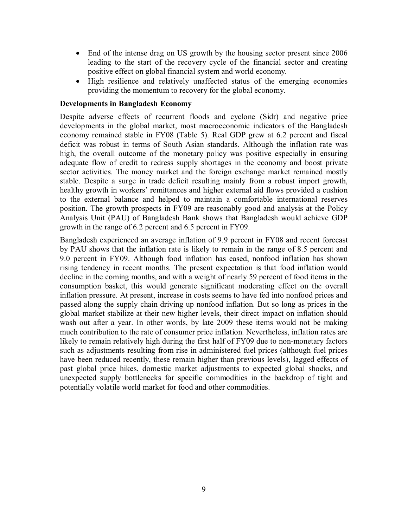- End of the intense drag on US growth by the housing sector present since 2006 leading to the start of the recovery cycle of the financial sector and creating positive effect on global financial system and world economy.
- High resilience and relatively unaffected status of the emerging economies providing the momentum to recovery for the global economy.

#### **Developments in Bangladesh Economy**

Despite adverse effects of recurrent floods and cyclone (Sidr) and negative price developments in the global market, most macroeconomic indicators of the Bangladesh economy remained stable in FY08 (Table 5). Real GDP grew at 6.2 percent and fiscal deficit was robust in terms of South Asian standards. Although the inflation rate was high, the overall outcome of the monetary policy was positive especially in ensuring adequate flow of credit to redress supply shortages in the economy and boost private sector activities. The money market and the foreign exchange market remained mostly stable. Despite a surge in trade deficit resulting mainly from a robust import growth, healthy growth in workers' remittances and higher external aid flows provided a cushion to the external balance and helped to maintain a comfortable international reserves position. The growth prospects in FY09 are reasonably good and analysis at the Policy Analysis Unit (PAU) of Bangladesh Bank shows that Bangladesh would achieve GDP growth in the range of 6.2 percent and 6.5 percent in FY09.

Bangladesh experienced an average inflation of 9.9 percent in FY08 and recent forecast by PAU shows that the inflation rate is likely to remain in the range of 8.5 percent and 9.0 percent in FY09. Although food inflation has eased, nonfood inflation has shown rising tendency in recent months. The present expectation is that food inflation would decline in the coming months, and with a weight of nearly 59 percent of food items in the consumption basket, this would generate significant moderating effect on the overall inflation pressure. At present, increase in costs seems to have fed into nonfood prices and passed along the supply chain driving up nonfood inflation. But so long as prices in the global market stabilize at their new higher levels, their direct impact on inflation should wash out after a year. In other words, by late 2009 these items would not be making much contribution to the rate of consumer price inflation. Nevertheless, inflation rates are likely to remain relatively high during the first half of FY09 due to non-monetary factors such as adjustments resulting from rise in administered fuel prices (although fuel prices have been reduced recently, these remain higher than previous levels), lagged effects of past global price hikes, domestic market adjustments to expected global shocks, and unexpected supply bottlenecks for specific commodities in the backdrop of tight and potentially volatile world market for food and other commodities.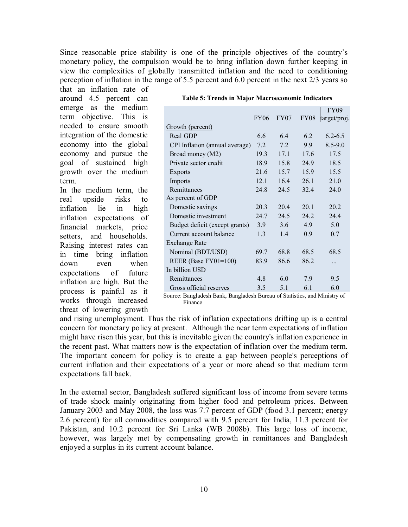Since reasonable price stability is one of the principle objectives of the country's monetary policy, the compulsion would be to bring inflation down further keeping in view the complexities of globally transmitted inflation and the need to conditioning perception of inflation in the range of 5.5 percent and 6.0 percent in the next 2/3 years so

that an inflation rate of around 4.5 percent can emerge as the medium term objective. This is needed to ensure smooth integration of the domestic economy into the global economy and pursue the goal of sustained high growth over the medium term.

In the medium term, the real upside risks to inflation lie in high inflation expectations of financial markets, price setters, and households. Raising interest rates can in time bring inflation down even when expectations of future inflation are high. But the process is painful as it works through increased threat of lowering growth

|                                                                      |                  |      |                  | <b>FY09</b>                                   |
|----------------------------------------------------------------------|------------------|------|------------------|-----------------------------------------------|
|                                                                      | <b>FY06</b>      | FY07 | <b>FY08</b>      | target/proj.                                  |
| Growth (percent)                                                     |                  |      |                  |                                               |
| Real GDP                                                             | 6.6              | 6.4  | 6.2              | $6.2 - 6.5$                                   |
| CPI Inflation (annual average)                                       | 7.2              | 7.2  | 9.9 <sub>°</sub> | $8.5 - 9.0$                                   |
| Broad money (M2)                                                     | 19.3             | 17.1 | 17.6             | 17.5                                          |
| Private sector credit                                                | 18.9             | 15.8 | 24.9             | 18.5                                          |
| Exports                                                              | 21.6             | 15.7 | 15.9             | 15.5                                          |
| Imports                                                              | 12.1             | 16.4 | 26.1             | 21.0                                          |
| Remittances                                                          | 24.8             | 24.5 | 32.4             | 24.0                                          |
| As percent of GDP                                                    |                  |      |                  |                                               |
| Domestic savings                                                     | 20.3             | 20.4 | 20.1             | 20.2                                          |
| Domestic investment                                                  | 24.7             | 24.5 | 24.2             | 24.4                                          |
| Budget deficit (except grants)                                       | 3.9 <sup>°</sup> | 3.6  | 4.9              | 5.0                                           |
| Current account balance                                              | 1.3              | 1.4  | 0.9              | 0.7                                           |
| <b>Exchange Rate</b>                                                 |                  |      |                  |                                               |
| Nominal (BDT/USD)                                                    | 69.7             | 68.8 | 68.5             | 68.5                                          |
| REER (Base $FY01=100$ )                                              | 83.9             | 86.6 | 86.2             |                                               |
| In billion USD                                                       |                  |      |                  |                                               |
| Remittances                                                          | 4.8              | 6.0  | 7.9              | 9.5                                           |
| Gross official reserves<br>8  Dan aladask Dank, Dan aladask Danaarra | 3.5              | 5.1  | 6.1              | 6.0<br>$\mathcal{L}$ Classical and Minimum of |

**Table 5: Trends in Major Macroeconomic Indicators**

 Source: Bangladesh Bank, Bangladesh Bureau of Statistics, and Ministry of Finance

and rising unemployment. Thus the risk of inflation expectations drifting up is a central concern for monetary policy at present. Although the near term expectations of inflation might have risen this year, but this is inevitable given the country's inflation experience in the recent past. What matters now is the expectation of inflation over the medium term. The important concern for policy is to create a gap between people's perceptions of current inflation and their expectations of a year or more ahead so that medium term expectations fall back.

In the external sector, Bangladesh suffered significant loss of income from severe terms of trade shock mainly originating from higher food and petroleum prices. Between January 2003 and May 2008, the loss was 7.7 percent of GDP (food 3.1 percent; energy 2.6 percent) for all commodities compared with 9.5 percent for India, 11.3 percent for Pakistan, and 10.2 percent for Sri Lanka (WB 2008b). This large loss of income, however, was largely met by compensating growth in remittances and Bangladesh enjoyed a surplus in its current account balance.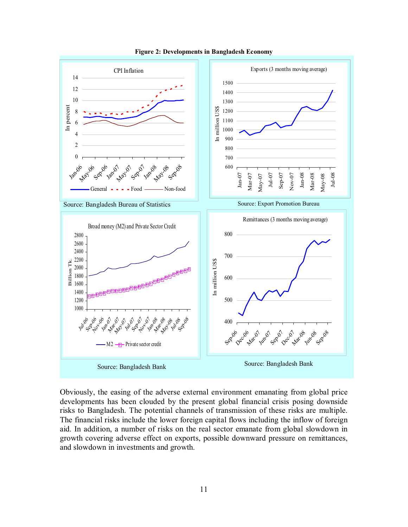

**Figure 2: Developments in Bangladesh Economy**

Obviously, the easing of the adverse external environment emanating from global price developments has been clouded by the present global financial crisis posing downside risks to Bangladesh. The potential channels of transmission of these risks are multiple. The financial risks include the lower foreign capital flows including the inflow of foreign aid. In addition, a number of risks on the real sector emanate from global slowdown in growth covering adverse effect on exports, possible downward pressure on remittances, and slowdown in investments and growth.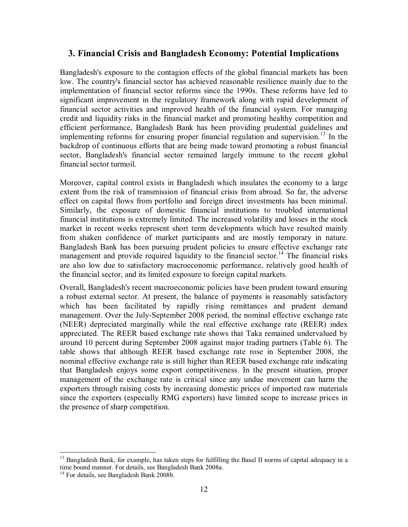# **3. Financial Crisis and Bangladesh Economy: Potential Implications**

Bangladesh's exposure to the contagion effects of the global financial markets has been low. The country's financial sector has achieved reasonable resilience mainly due to the implementation of financial sector reforms since the 1990s. These reforms have led to significant improvement in the regulatory framework along with rapid development of financial sector activities and improved health of the financial system. For managing credit and liquidity risks in the financial market and promoting healthy competition and efficient performance, Bangladesh Bank has been providing prudential guidelines and implementing reforms for ensuring proper financial regulation and supervision.<sup>13</sup> In the backdrop of continuous efforts that are being made toward promoting a robust financial sector, Bangladesh's financial sector remained largely immune to the recent global financial sector turmoil.

Moreover, capital control exists in Bangladesh which insulates the economy to a large extent from the risk of transmission of financial crisis from abroad. So far, the adverse effect on capital flows from portfolio and foreign direct investments has been minimal. Similarly, the exposure of domestic financial institutions to troubled international financial institutions is extremely limited. The increased volatility and losses in the stock market in recent weeks represent short term developments which have resulted mainly from shaken confidence of market participants and are mostly temporary in nature. Bangladesh Bank has been pursuing prudent policies to ensure effective exchange rate management and provide required liquidity to the financial sector.<sup>14</sup> The financial risks are also low due to satisfactory macroeconomic performance, relatively good health of the financial sector, and its limited exposure to foreign capital markets.

Overall, Bangladesh's recent macroeconomic policies have been prudent toward ensuring a robust external sector. At present, the balance of payments is reasonably satisfactory which has been facilitated by rapidly rising remittances and prudent demand management. Over the July-September 2008 period, the nominal effective exchange rate (NEER) depreciated marginally while the real effective exchange rate (REER) index appreciated. The REER based exchange rate shows that Taka remained undervalued by around 10 percent during September 2008 against major trading partners (Table 6). The table shows that although REER based exchange rate rose in September 2008, the nominal effective exchange rate is still higher than REER based exchange rate indicating that Bangladesh enjoys some export competitiveness. In the present situation, proper management of the exchange rate is critical since any undue movement can harm the exporters through raising costs by increasing domestic prices of imported raw materials since the exporters (especially RMG exporters) have limited scope to increase prices in the presence of sharp competition.

 $\overline{a}$ 

<sup>&</sup>lt;sup>13</sup> Bangladesh Bank, for example, has taken steps for fulfilling the Basel II norms of capital adequacy in a time bound manner. For details, see Bangladesh Bank 2008a.

 $14$  For details, see Bangladesh Bank 2008b.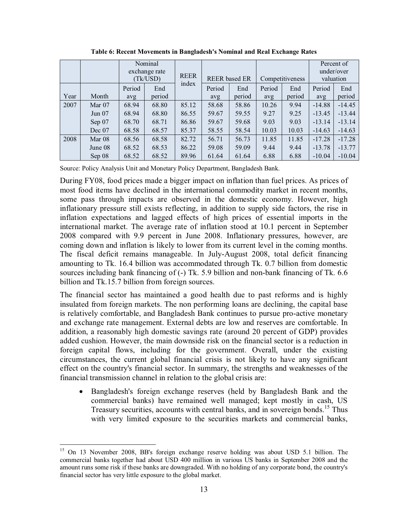|      |          | Nominal<br>exchange rate<br>(Tk/USD) |        | <b>REER</b> |        | <b>REER</b> based ER |        | Competitiveness |          | Percent of<br>under/over<br>valuation |
|------|----------|--------------------------------------|--------|-------------|--------|----------------------|--------|-----------------|----------|---------------------------------------|
|      |          | Period                               | End    | index       | Period | End                  | Period | End             | Period   | End                                   |
| Year | Month    | avg                                  | period |             | avg    | period               | avg    | period          | avg      | period                                |
| 2007 | Mar $07$ | 68.94                                | 68.80  | 85.12       | 58.68  | 58.86                | 10.26  | 9.94            | $-14.88$ | $-14.45$                              |
|      | Jun 07   | 68.94                                | 68.80  | 86.55       | 59.67  | 59.55                | 9.27   | 9.25            | $-13.45$ | $-13.44$                              |
|      | Sep 07   | 68.70                                | 68.71  | 86.86       | 59.67  | 59.68                | 9.03   | 9.03            | $-13.14$ | $-13.14$                              |
|      | Dec 07   | 68.58                                | 68.57  | 85.37       | 58.55  | 58.54                | 10.03  | 10.03           | $-14.63$ | $-14.63$                              |
| 2008 | Mar 08   | 68.56                                | 68.58  | 82.72       | 56.71  | 56.73                | 11.85  | 11.85           | $-17.28$ | $-17.28$                              |
|      | June 08  | 68.52                                | 68.53  | 86.22       | 59.08  | 59.09                | 9.44   | 9.44            | $-13.78$ | $-13.77$                              |
|      | Sep 08   | 68.52                                | 68.52  | 89.96       | 61.64  | 61.64                | 6.88   | 6.88            | $-10.04$ | $-10.04$                              |

**Table 6: Recent Movements in Bangladesh's Nominal and Real Exchange Rates**

Source: Policy Analysis Unit and Monetary Policy Department, Bangladesh Bank.

During FY08, food prices made a bigger impact on inflation than fuel prices. As prices of most food items have declined in the international commodity market in recent months, some pass through impacts are observed in the domestic economy. However, high inflationary pressure still exists reflecting, in addition to supply side factors, the rise in inflation expectations and lagged effects of high prices of essential imports in the international market. The average rate of inflation stood at 10.1 percent in September 2008 compared with 9.9 percent in June 2008. Inflationary pressures, however, are coming down and inflation is likely to lower from its current level in the coming months. The fiscal deficit remains manageable. In July-August 2008, total deficit financing amounting to Tk. 16.4 billion was accommodated through Tk. 0.7 billion from domestic sources including bank financing of (-) Tk. 5.9 billion and non-bank financing of Tk. 6.6 billion and Tk.15.7 billion from foreign sources.

The financial sector has maintained a good health due to past reforms and is highly insulated from foreign markets. The non performing loans are declining, the capital base is relatively comfortable, and Bangladesh Bank continues to pursue pro-active monetary and exchange rate management. External debts are low and reserves are comfortable. In addition, a reasonably high domestic savings rate (around 20 percent of GDP) provides added cushion. However, the main downside risk on the financial sector is a reduction in foreign capital flows, including for the government. Overall, under the existing circumstances, the current global financial crisis is not likely to have any significant effect on the country's financial sector. In summary, the strengths and weaknesses of the financial transmission channel in relation to the global crisis are:

• Bangladesh's foreign exchange reserves (held by Bangladesh Bank and the commercial banks) have remained well managed; kept mostly in cash, US Treasury securities, accounts with central banks, and in sovereign bonds.<sup>15</sup> Thus with very limited exposure to the securities markets and commercial banks,

<sup>-</sup><sup>15</sup> On 13 November 2008, BB's foreign exchange reserve holding was about USD 5.1 billion. The commercial banks together had about USD 400 million in various US banks in September 2008 and the amount runs some risk if these banks are downgraded. With no holding of any corporate bond, the country's financial sector has very little exposure to the global market.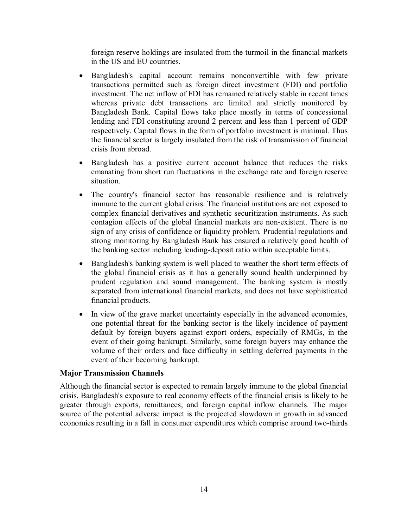foreign reserve holdings are insulated from the turmoil in the financial markets in the US and EU countries.

- Bangladesh's capital account remains nonconvertible with few private transactions permitted such as foreign direct investment (FDI) and portfolio investment. The net inflow of FDI has remained relatively stable in recent times whereas private debt transactions are limited and strictly monitored by Bangladesh Bank. Capital flows take place mostly in terms of concessional lending and FDI constituting around 2 percent and less than 1 percent of GDP respectively. Capital flows in the form of portfolio investment is minimal. Thus the financial sector is largely insulated from the risk of transmission of financial crisis from abroad.
- Bangladesh has a positive current account balance that reduces the risks emanating from short run fluctuations in the exchange rate and foreign reserve situation.
- The country's financial sector has reasonable resilience and is relatively immune to the current global crisis. The financial institutions are not exposed to complex financial derivatives and synthetic securitization instruments. As such contagion effects of the global financial markets are non-existent. There is no sign of any crisis of confidence or liquidity problem. Prudential regulations and strong monitoring by Bangladesh Bank has ensured a relatively good health of the banking sector including lending-deposit ratio within acceptable limits.
- Bangladesh's banking system is well placed to weather the short term effects of the global financial crisis as it has a generally sound health underpinned by prudent regulation and sound management. The banking system is mostly separated from international financial markets, and does not have sophisticated financial products.
- In view of the grave market uncertainty especially in the advanced economies, one potential threat for the banking sector is the likely incidence of payment default by foreign buyers against export orders, especially of RMGs, in the event of their going bankrupt. Similarly, some foreign buyers may enhance the volume of their orders and face difficulty in settling deferred payments in the event of their becoming bankrupt.

## **Major Transmission Channels**

Although the financial sector is expected to remain largely immune to the global financial crisis, Bangladesh's exposure to real economy effects of the financial crisis is likely to be greater through exports, remittances, and foreign capital inflow channels. The major source of the potential adverse impact is the projected slowdown in growth in advanced economies resulting in a fall in consumer expenditures which comprise around two-thirds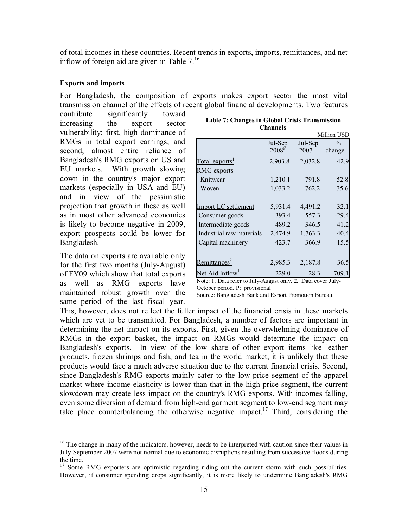of total incomes in these countries. Recent trends in exports, imports, remittances, and net inflow of foreign aid are given in Table  $7<sup>16</sup>$ 

#### **Exports and imports**

For Bangladesh, the composition of exports makes export sector the most vital transmission channel of the effects of recent global financial developments. Two features

contribute significantly toward increasing the export sector vulnerability: first, high dominance of RMGs in total export earnings; and second, almost entire reliance of Bangladesh's RMG exports on US and EU markets. With growth slowing down in the country's major export markets (especially in USA and EU) and in view of the pessimistic projection that growth in these as well as in most other advanced economies is likely to become negative in 2009, export prospects could be lower for Bangladesh.

The data on exports are available only for the first two months (July-August) of FY09 which show that total exports as well as RMG exports have maintained robust growth over the same period of the last fiscal year.

 $\overline{a}$ 

|                             | <b>Channels</b>   |         |               |
|-----------------------------|-------------------|---------|---------------|
|                             |                   |         | Million USD   |
|                             | Jul-Sep           | Jul-Sep | $\frac{0}{0}$ |
|                             | 2008 <sup>F</sup> | 2007    | change        |
| Total exports <sup>1</sup>  | 2,903.8           | 2,032.8 | 42.9          |
| <b>RMG</b> exports          |                   |         |               |
| Knitwear                    | 1,210.1           | 791.8   | 52.8          |
| Woven                       | 1,033.2           | 762.2   | 35.6          |
|                             |                   |         |               |
| Import LC settlement        | 5,931.4           | 4,491.2 | 32.1          |
| Consumer goods              | 393.4             | 557.3   | $-29.4$       |
| Intermediate goods          | 489.2             | 346.5   | 41.2          |
| Industrial raw materials    | 2,474.9           | 1,763.3 | 40.4          |
| Capital machinery           | 423.7             | 366.9   | 15.5          |
|                             |                   |         |               |
| Remittances <sup>2</sup>    | 2,985.3           | 2,187.8 | 36.5          |
| Net Aid Inflow <sup>1</sup> | 229.0             | 28.3    | 709.          |

**Table 7: Changes in Global Crisis Transmission** 

Note: 1. Data refer to July-August only. 2. Data cover July-October period. P: provisional

Source: Bangladesh Bank and Export Promotion Bureau.

This, however, does not reflect the fuller impact of the financial crisis in these markets which are yet to be transmitted. For Bangladesh, a number of factors are important in determining the net impact on its exports. First, given the overwhelming dominance of RMGs in the export basket, the impact on RMGs would determine the impact on Bangladesh's exports. In view of the low share of other export items like leather products, frozen shrimps and fish, and tea in the world market, it is unlikely that these products would face a much adverse situation due to the current financial crisis. Second, since Bangladesh's RMG exports mainly cater to the low-price segment of the apparel market where income elasticity is lower than that in the high-price segment, the current slowdown may create less impact on the country's RMG exports. With incomes falling, even some diversion of demand from high-end garment segment to low-end segment may take place counterbalancing the otherwise negative impact.<sup>17</sup> Third, considering the

<sup>&</sup>lt;sup>16</sup> The change in many of the indicators, however, needs to be interpreted with caution since their values in July-September 2007 were not normal due to economic disruptions resulting from successive floods during the time.

<sup>&</sup>lt;sup>17</sup> Some RMG exporters are optimistic regarding riding out the current storm with such possibilities. However, if consumer spending drops significantly, it is more likely to undermine Bangladesh's RMG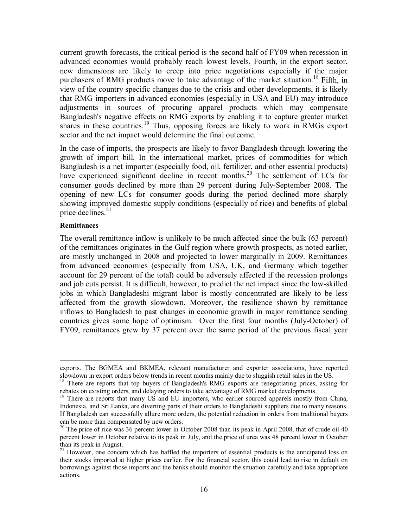current growth forecasts, the critical period is the second half of FY09 when recession in advanced economies would probably reach lowest levels. Fourth, in the export sector, new dimensions are likely to creep into price negotiations especially if the major purchasers of RMG products move to take advantage of the market situation.<sup>18</sup> Fifth, in view of the country specific changes due to the crisis and other developments, it is likely that RMG importers in advanced economies (especially in USA and EU) may introduce adjustments in sources of procuring apparel products which may compensate Bangladesh's negative effects on RMG exports by enabling it to capture greater market shares in these countries.<sup>19</sup> Thus, opposing forces are likely to work in RMGs export sector and the net impact would determine the final outcome.

In the case of imports, the prospects are likely to favor Bangladesh through lowering the growth of import bill. In the international market, prices of commodities for which Bangladesh is a net importer (especially food, oil, fertilizer, and other essential products) have experienced significant decline in recent months.<sup>20</sup> The settlement of LCs for consumer goods declined by more than 29 percent during July-September 2008. The opening of new LCs for consumer goods during the period declined more sharply showing improved domestic supply conditions (especially of rice) and benefits of global price declines. $2<sup>1</sup>$ 

#### **Remittances**

The overall remittance inflow is unlikely to be much affected since the bulk (63 percent) of the remittances originates in the Gulf region where growth prospects, as noted earlier, are mostly unchanged in 2008 and projected to lower marginally in 2009. Remittances from advanced economies (especially from USA, UK, and Germany which together account for 29 percent of the total) could be adversely affected if the recession prolongs and job cuts persist. It is difficult, however, to predict the net impact since the low-skilled jobs in which Bangladeshi migrant labor is mostly concentrated are likely to be less affected from the growth slowdown. Moreover, the resilience shown by remittance inflows to Bangladesh to past changes in economic growth in major remittance sending countries gives some hope of optimism. Over the first four months (July-October) of FY09, remittances grew by 37 percent over the same period of the previous fiscal year

exports. The BGMEA and BKMEA, relevant manufacturer and exporter associations, have reported slowdown in export orders below trends in recent months mainly due to sluggish retail sales in the US.

<sup>&</sup>lt;sup>18</sup> There are reports that top buyers of Bangladesh's RMG exports are renegotiating prices, asking for rebates on existing orders, and delaying orders to take advantage of RMG market developments.

<sup>&</sup>lt;sup>19</sup> There are reports that many US and EU importers, who earlier sourced apparels mostly from China, Indonesia, and Sri Lanka, are diverting parts of their orders to Bangladeshi suppliers due to many reasons. If Bangladesh can successfully allure more orders, the potential reduction in orders from traditional buyers can be more than compensated by new orders.

<sup>&</sup>lt;sup>20</sup> The price of rice was 36 percent lower in October 2008 than its peak in April 2008, that of crude oil 40 percent lower in October relative to its peak in July, and the price of urea was 48 percent lower in October than its peak in August.

<sup>&</sup>lt;sup>21</sup> However, one concern which has baffled the importers of essential products is the anticipated loss on their stocks imported at higher prices earlier. For the financial sector, this could lead to rise in default on borrowings against those imports and the banks should monitor the situation carefully and take appropriate actions.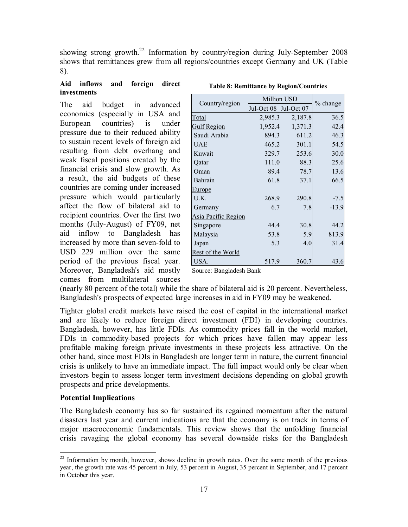showing strong growth.<sup>22</sup> Information by country/region during July-September 2008 shows that remittances grew from all regions/countries except Germany and UK (Table 8).

#### **Aid inflows and foreign direct investments**

The aid budget in advanced economies (especially in USA and European countries) is under pressure due to their reduced ability to sustain recent levels of foreign aid resulting from debt overhang and weak fiscal positions created by the financial crisis and slow growth. As a result, the aid budgets of these countries are coming under increased pressure which would particularly affect the flow of bilateral aid to recipient countries. Over the first two months (July-August) of FY09, net aid inflow to Bangladesh has increased by more than seven-fold to USD 229 million over the same period of the previous fiscal year. Moreover, Bangladesh's aid mostly comes from multilateral sources

|                     | <b>Million USD</b>    |         |            |
|---------------------|-----------------------|---------|------------|
| Country/region      | Jul-Oct 08 Jul-Oct 07 |         | $%$ change |
| Total               | 2,985.3               | 2,187.8 | 36.5       |
| <b>Gulf Region</b>  | 1,952.4               | 1,371.3 | 42.4       |
| Saudi Arabia        | 894.3                 | 611.2   | 46.3       |
| <b>UAE</b>          | 465.2                 | 301.1   | 54.5       |
| Kuwait              | 329.7                 | 253.6   | 30.0       |
| Qatar               | 111.0                 | 88.3    | 25.6       |
| Oman                | 89.4                  | 78.7    | 13.6       |
| Bahrain             | 61.8                  | 37.1    | 66.5       |
| <b>Europe</b>       |                       |         |            |
| U.K.                | 268.9                 | 290.8   | $-7.5$     |
| Germany             | 6.7                   | 7.8     | $-13.9$    |
| Asia Pacific Region |                       |         |            |
| Singapore           | 44.4                  | 30.8    | 44.2       |
| Malaysia            | 53.8                  | 5.9     | 813.9      |
| Japan               | 5.3                   | 4.0     | 31.4       |
| Rest of the World   |                       |         |            |
| USA.                | 517.9                 | 360.7   | 43.6       |

**Table 8: Remittance by Region/Countries**

Source: Bangladesh Bank

(nearly 80 percent of the total) while the share of bilateral aid is 20 percent. Nevertheless, Bangladesh's prospects of expected large increases in aid in FY09 may be weakened.

Tighter global credit markets have raised the cost of capital in the international market and are likely to reduce foreign direct investment (FDI) in developing countries. Bangladesh, however, has little FDIs. As commodity prices fall in the world market, FDIs in commodity-based projects for which prices have fallen may appear less profitable making foreign private investments in these projects less attractive. On the other hand, since most FDIs in Bangladesh are longer term in nature, the current financial crisis is unlikely to have an immediate impact. The full impact would only be clear when investors begin to assess longer term investment decisions depending on global growth prospects and price developments.

## **Potential Implications**

The Bangladesh economy has so far sustained its regained momentum after the natural disasters last year and current indications are that the economy is on track in terms of major macroeconomic fundamentals. This review shows that the unfolding financial crisis ravaging the global economy has several downside risks for the Bangladesh

 $\overline{a}$  $2<sup>22</sup>$  Information by month, however, shows decline in growth rates. Over the same month of the previous year, the growth rate was 45 percent in July, 53 percent in August, 35 percent in September, and 17 percent in October this year.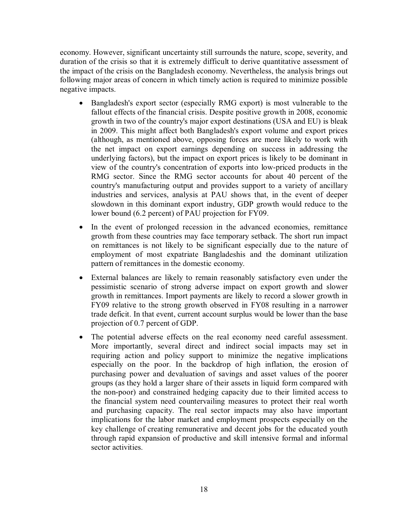economy. However, significant uncertainty still surrounds the nature, scope, severity, and duration of the crisis so that it is extremely difficult to derive quantitative assessment of the impact of the crisis on the Bangladesh economy. Nevertheless, the analysis brings out following major areas of concern in which timely action is required to minimize possible negative impacts.

- Bangladesh's export sector (especially RMG export) is most vulnerable to the fallout effects of the financial crisis. Despite positive growth in 2008, economic growth in two of the country's major export destinations (USA and EU) is bleak in 2009. This might affect both Bangladesh's export volume and export prices (although, as mentioned above, opposing forces are more likely to work with the net impact on export earnings depending on success in addressing the underlying factors), but the impact on export prices is likely to be dominant in view of the country's concentration of exports into low-priced products in the RMG sector. Since the RMG sector accounts for about 40 percent of the country's manufacturing output and provides support to a variety of ancillary industries and services, analysis at PAU shows that, in the event of deeper slowdown in this dominant export industry, GDP growth would reduce to the lower bound (6.2 percent) of PAU projection for FY09.
- In the event of prolonged recession in the advanced economies, remittance growth from these countries may face temporary setback. The short run impact on remittances is not likely to be significant especially due to the nature of employment of most expatriate Bangladeshis and the dominant utilization pattern of remittances in the domestic economy.
- External balances are likely to remain reasonably satisfactory even under the pessimistic scenario of strong adverse impact on export growth and slower growth in remittances. Import payments are likely to record a slower growth in FY09 relative to the strong growth observed in FY08 resulting in a narrower trade deficit. In that event, current account surplus would be lower than the base projection of 0.7 percent of GDP.
- The potential adverse effects on the real economy need careful assessment. More importantly, several direct and indirect social impacts may set in requiring action and policy support to minimize the negative implications especially on the poor. In the backdrop of high inflation, the erosion of purchasing power and devaluation of savings and asset values of the poorer groups (as they hold a larger share of their assets in liquid form compared with the non-poor) and constrained hedging capacity due to their limited access to the financial system need countervailing measures to protect their real worth and purchasing capacity. The real sector impacts may also have important implications for the labor market and employment prospects especially on the key challenge of creating remunerative and decent jobs for the educated youth through rapid expansion of productive and skill intensive formal and informal sector activities.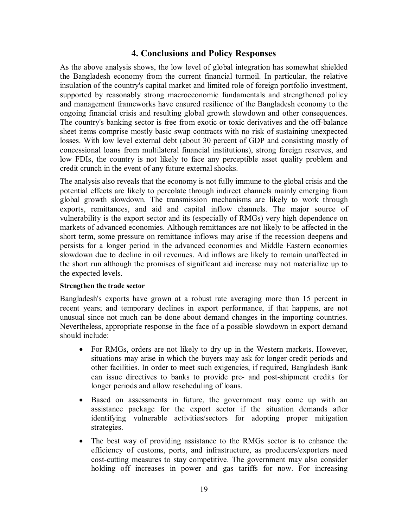# **4. Conclusions and Policy Responses**

As the above analysis shows, the low level of global integration has somewhat shielded the Bangladesh economy from the current financial turmoil. In particular, the relative insulation of the country's capital market and limited role of foreign portfolio investment, supported by reasonably strong macroeconomic fundamentals and strengthened policy and management frameworks have ensured resilience of the Bangladesh economy to the ongoing financial crisis and resulting global growth slowdown and other consequences. The country's banking sector is free from exotic or toxic derivatives and the off-balance sheet items comprise mostly basic swap contracts with no risk of sustaining unexpected losses. With low level external debt (about 30 percent of GDP and consisting mostly of concessional loans from multilateral financial institutions), strong foreign reserves, and low FDIs, the country is not likely to face any perceptible asset quality problem and credit crunch in the event of any future external shocks.

The analysis also reveals that the economy is not fully immune to the global crisis and the potential effects are likely to percolate through indirect channels mainly emerging from global growth slowdown. The transmission mechanisms are likely to work through exports, remittances, and aid and capital inflow channels. The major source of vulnerability is the export sector and its (especially of RMGs) very high dependence on markets of advanced economies. Although remittances are not likely to be affected in the short term, some pressure on remittance inflows may arise if the recession deepens and persists for a longer period in the advanced economies and Middle Eastern economies slowdown due to decline in oil revenues. Aid inflows are likely to remain unaffected in the short run although the promises of significant aid increase may not materialize up to the expected levels.

#### **Strengthen the trade sector**

Bangladesh's exports have grown at a robust rate averaging more than 15 percent in recent years; and temporary declines in export performance, if that happens, are not unusual since not much can be done about demand changes in the importing countries. Nevertheless, appropriate response in the face of a possible slowdown in export demand should include:

- For RMGs, orders are not likely to dry up in the Western markets. However, situations may arise in which the buyers may ask for longer credit periods and other facilities. In order to meet such exigencies, if required, Bangladesh Bank can issue directives to banks to provide pre- and post-shipment credits for longer periods and allow rescheduling of loans.
- Based on assessments in future, the government may come up with an assistance package for the export sector if the situation demands after identifying vulnerable activities/sectors for adopting proper mitigation strategies.
- The best way of providing assistance to the RMGs sector is to enhance the efficiency of customs, ports, and infrastructure, as producers/exporters need cost-cutting measures to stay competitive. The government may also consider holding off increases in power and gas tariffs for now. For increasing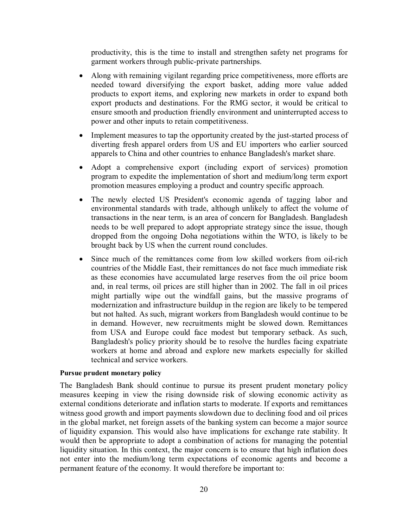productivity, this is the time to install and strengthen safety net programs for garment workers through public-private partnerships.

- Along with remaining vigilant regarding price competitiveness, more efforts are needed toward diversifying the export basket, adding more value added products to export items, and exploring new markets in order to expand both export products and destinations. For the RMG sector, it would be critical to ensure smooth and production friendly environment and uninterrupted access to power and other inputs to retain competitiveness.
- Implement measures to tap the opportunity created by the just-started process of diverting fresh apparel orders from US and EU importers who earlier sourced apparels to China and other countries to enhance Bangladesh's market share.
- Adopt a comprehensive export (including export of services) promotion program to expedite the implementation of short and medium/long term export promotion measures employing a product and country specific approach.
- The newly elected US President's economic agenda of tagging labor and environmental standards with trade, although unlikely to affect the volume of transactions in the near term, is an area of concern for Bangladesh. Bangladesh needs to be well prepared to adopt appropriate strategy since the issue, though dropped from the ongoing Doha negotiations within the WTO, is likely to be brought back by US when the current round concludes.
- Since much of the remittances come from low skilled workers from oil-rich countries of the Middle East, their remittances do not face much immediate risk as these economies have accumulated large reserves from the oil price boom and, in real terms, oil prices are still higher than in 2002. The fall in oil prices might partially wipe out the windfall gains, but the massive programs of modernization and infrastructure buildup in the region are likely to be tempered but not halted. As such, migrant workers from Bangladesh would continue to be in demand. However, new recruitments might be slowed down. Remittances from USA and Europe could face modest but temporary setback. As such, Bangladesh's policy priority should be to resolve the hurdles facing expatriate workers at home and abroad and explore new markets especially for skilled technical and service workers.

#### **Pursue prudent monetary policy**

The Bangladesh Bank should continue to pursue its present prudent monetary policy measures keeping in view the rising downside risk of slowing economic activity as external conditions deteriorate and inflation starts to moderate. If exports and remittances witness good growth and import payments slowdown due to declining food and oil prices in the global market, net foreign assets of the banking system can become a major source of liquidity expansion. This would also have implications for exchange rate stability. It would then be appropriate to adopt a combination of actions for managing the potential liquidity situation. In this context, the major concern is to ensure that high inflation does not enter into the medium/long term expectations of economic agents and become a permanent feature of the economy. It would therefore be important to: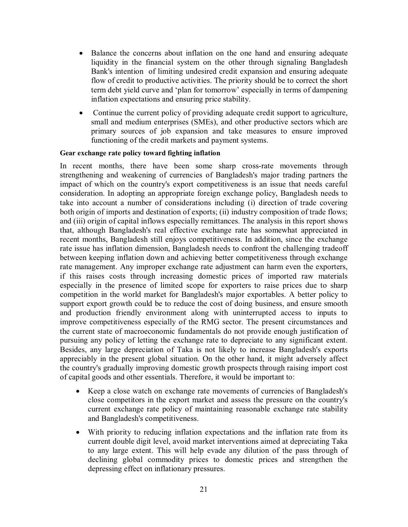- Balance the concerns about inflation on the one hand and ensuring adequate liquidity in the financial system on the other through signaling Bangladesh Bank's intention of limiting undesired credit expansion and ensuring adequate flow of credit to productive activities. The priority should be to correct the short term debt yield curve and 'plan for tomorrow' especially in terms of dampening inflation expectations and ensuring price stability.
- Continue the current policy of providing adequate credit support to agriculture, small and medium enterprises (SMEs), and other productive sectors which are primary sources of job expansion and take measures to ensure improved functioning of the credit markets and payment systems.

#### **Gear exchange rate policy toward fighting inflation**

In recent months, there have been some sharp cross-rate movements through strengthening and weakening of currencies of Bangladesh's major trading partners the impact of which on the country's export competitiveness is an issue that needs careful consideration. In adopting an appropriate foreign exchange policy, Bangladesh needs to take into account a number of considerations including (i) direction of trade covering both origin of imports and destination of exports; (ii) industry composition of trade flows; and (iii) origin of capital inflows especially remittances. The analysis in this report shows that, although Bangladesh's real effective exchange rate has somewhat appreciated in recent months, Bangladesh still enjoys competitiveness. In addition, since the exchange rate issue has inflation dimension, Bangladesh needs to confront the challenging tradeoff between keeping inflation down and achieving better competitiveness through exchange rate management. Any improper exchange rate adjustment can harm even the exporters, if this raises costs through increasing domestic prices of imported raw materials especially in the presence of limited scope for exporters to raise prices due to sharp competition in the world market for Bangladesh's major exportables. A better policy to support export growth could be to reduce the cost of doing business, and ensure smooth and production friendly environment along with uninterrupted access to inputs to improve competitiveness especially of the RMG sector. The present circumstances and the current state of macroeconomic fundamentals do not provide enough justification of pursuing any policy of letting the exchange rate to depreciate to any significant extent. Besides, any large depreciation of Taka is not likely to increase Bangladesh's exports appreciably in the present global situation. On the other hand, it might adversely affect the country's gradually improving domestic growth prospects through raising import cost of capital goods and other essentials. Therefore, it would be important to:

- Keep a close watch on exchange rate movements of currencies of Bangladesh's close competitors in the export market and assess the pressure on the country's current exchange rate policy of maintaining reasonable exchange rate stability and Bangladesh's competitiveness.
- With priority to reducing inflation expectations and the inflation rate from its current double digit level, avoid market interventions aimed at depreciating Taka to any large extent. This will help evade any dilution of the pass through of declining global commodity prices to domestic prices and strengthen the depressing effect on inflationary pressures.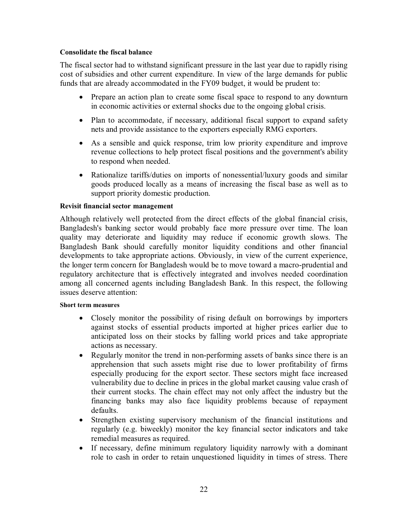#### **Consolidate the fiscal balance**

The fiscal sector had to withstand significant pressure in the last year due to rapidly rising cost of subsidies and other current expenditure. In view of the large demands for public funds that are already accommodated in the FY09 budget, it would be prudent to:

- Prepare an action plan to create some fiscal space to respond to any downturn in economic activities or external shocks due to the ongoing global crisis.
- Plan to accommodate, if necessary, additional fiscal support to expand safety nets and provide assistance to the exporters especially RMG exporters.
- As a sensible and quick response, trim low priority expenditure and improve revenue collections to help protect fiscal positions and the government's ability to respond when needed.
- Rationalize tariffs/duties on imports of nonessential/luxury goods and similar goods produced locally as a means of increasing the fiscal base as well as to support priority domestic production.

#### **Revisit financial sector management**

Although relatively well protected from the direct effects of the global financial crisis, Bangladesh's banking sector would probably face more pressure over time. The loan quality may deteriorate and liquidity may reduce if economic growth slows. The Bangladesh Bank should carefully monitor liquidity conditions and other financial developments to take appropriate actions. Obviously, in view of the current experience, the longer term concern for Bangladesh would be to move toward a macro-prudential and regulatory architecture that is effectively integrated and involves needed coordination among all concerned agents including Bangladesh Bank. In this respect, the following issues deserve attention:

#### **Short term measures**

- Closely monitor the possibility of rising default on borrowings by importers against stocks of essential products imported at higher prices earlier due to anticipated loss on their stocks by falling world prices and take appropriate actions as necessary.
- Regularly monitor the trend in non-performing assets of banks since there is an apprehension that such assets might rise due to lower profitability of firms especially producing for the export sector. These sectors might face increased vulnerability due to decline in prices in the global market causing value crash of their current stocks. The chain effect may not only affect the industry but the financing banks may also face liquidity problems because of repayment defaults.
- Strengthen existing supervisory mechanism of the financial institutions and regularly (e.g. biweekly) monitor the key financial sector indicators and take remedial measures as required.
- If necessary, define minimum regulatory liquidity narrowly with a dominant role to cash in order to retain unquestioned liquidity in times of stress. There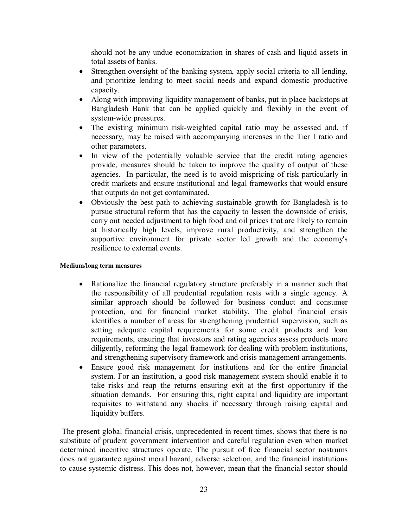should not be any undue economization in shares of cash and liquid assets in total assets of banks.

- Strengthen oversight of the banking system, apply social criteria to all lending, and prioritize lending to meet social needs and expand domestic productive capacity.
- Along with improving liquidity management of banks, put in place backstops at Bangladesh Bank that can be applied quickly and flexibly in the event of system-wide pressures.
- The existing minimum risk-weighted capital ratio may be assessed and, if necessary, may be raised with accompanying increases in the Tier I ratio and other parameters.
- In view of the potentially valuable service that the credit rating agencies provide, measures should be taken to improve the quality of output of these agencies. In particular, the need is to avoid mispricing of risk particularly in credit markets and ensure institutional and legal frameworks that would ensure that outputs do not get contaminated.
- Obviously the best path to achieving sustainable growth for Bangladesh is to pursue structural reform that has the capacity to lessen the downside of crisis, carry out needed adjustment to high food and oil prices that are likely to remain at historically high levels, improve rural productivity, and strengthen the supportive environment for private sector led growth and the economy's resilience to external events.

#### **Medium/long term measures**

- Rationalize the financial regulatory structure preferably in a manner such that the responsibility of all prudential regulation rests with a single agency. A similar approach should be followed for business conduct and consumer protection, and for financial market stability. The global financial crisis identifies a number of areas for strengthening prudential supervision, such as setting adequate capital requirements for some credit products and loan requirements, ensuring that investors and rating agencies assess products more diligently, reforming the legal framework for dealing with problem institutions, and strengthening supervisory framework and crisis management arrangements.
- Ensure good risk management for institutions and for the entire financial system. For an institution, a good risk management system should enable it to take risks and reap the returns ensuring exit at the first opportunity if the situation demands. For ensuring this, right capital and liquidity are important requisites to withstand any shocks if necessary through raising capital and liquidity buffers.

The present global financial crisis, unprecedented in recent times, shows that there is no substitute of prudent government intervention and careful regulation even when market determined incentive structures operate. The pursuit of free financial sector nostrums does not guarantee against moral hazard, adverse selection, and the financial institutions to cause systemic distress. This does not, however, mean that the financial sector should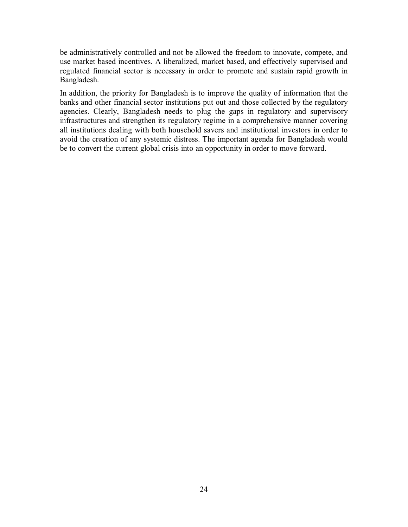be administratively controlled and not be allowed the freedom to innovate, compete, and use market based incentives. A liberalized, market based, and effectively supervised and regulated financial sector is necessary in order to promote and sustain rapid growth in Bangladesh.

In addition, the priority for Bangladesh is to improve the quality of information that the banks and other financial sector institutions put out and those collected by the regulatory agencies. Clearly, Bangladesh needs to plug the gaps in regulatory and supervisory infrastructures and strengthen its regulatory regime in a comprehensive manner covering all institutions dealing with both household savers and institutional investors in order to avoid the creation of any systemic distress. The important agenda for Bangladesh would be to convert the current global crisis into an opportunity in order to move forward.